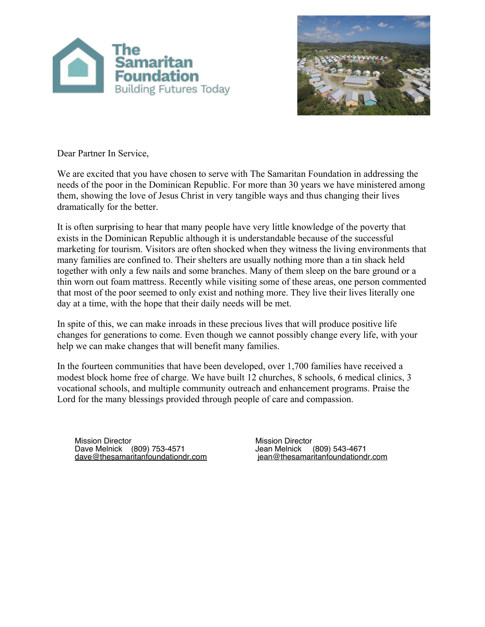



Dear Partner In Service,

We are excited that you have chosen to serve with The Samaritan Foundation in addressing the needs of the poor in the Dominican Republic. For more than 30 years we have ministered among them, showing the love of Jesus Christ in very tangible ways and thus changing their lives dramatically for the better.

It is often surprising to hear that many people have very little knowledge of the poverty that exists in the Dominican Republic although it is understandable because of the successful marketing for tourism. Visitors are often shocked when they witness the living environments that many families are confined to. Their shelters are usually nothing more than a tin shack held together with only a few nails and some branches. Many of them sleep on the bare ground or a thin worn out foam mattress. Recently while visiting some of these areas, one person commented that most of the poor seemed to only exist and nothing more. They live their lives literally one day at a time, with the hope that their daily needs will be met.

In spite of this, we can make inroads in these precious lives that will produce positive life changes for generations to come. Even though we cannot possibly change every life, with your help we can make changes that will benefit many families.

In the fourteen communities that have been developed, over 1,700 families have received a modest block home free of charge. We have built 12 churches, 8 schools, 6 medical clinics, 3 vocational schools, and multiple community outreach and enhancement programs. Praise the Lord for the many blessings provided through people of care and compassion.

Mission Director Dave Melnick (809) 753-4571 [dave@thesamaritanfoundationdr.com](mailto:dave@thesamaritanfoundationdr.com) **Mission Director**<br>Jean Melnick (809) 543-4671  [jean@thesamaritanfoundationdr.com](mailto:jean@thesamaritanfoundationdr.com)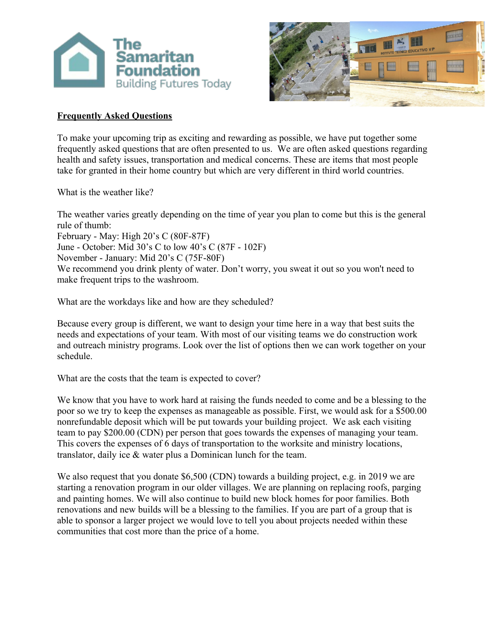



# **Frequently Asked Questions**

To make your upcoming trip as exciting and rewarding as possible, we have put together some frequently asked questions that are often presented to us. We are often asked questions regarding health and safety issues, transportation and medical concerns. These are items that most people take for granted in their home country but which are very different in third world countries.

What is the weather like?

The weather varies greatly depending on the time of year you plan to come but this is the general rule of thumb: February - May: High 20's C (80F-87F) June - October: Mid 30's C to low 40's C (87F - 102F) November - January: Mid 20's C (75F-80F) We recommend you drink plenty of water. Don't worry, you sweat it out so you won't need to make frequent trips to the washroom.

What are the workdays like and how are they scheduled?

Because every group is different, we want to design your time here in a way that best suits the needs and expectations of your team. With most of our visiting teams we do construction work and outreach ministry programs. Look over the list of options then we can work together on your schedule.

What are the costs that the team is expected to cover?

We know that you have to work hard at raising the funds needed to come and be a blessing to the poor so we try to keep the expenses as manageable as possible. First, we would ask for a \$500.00 nonrefundable deposit which will be put towards your building project. We ask each visiting team to pay \$200.00 (CDN) per person that goes towards the expenses of managing your team. This covers the expenses of 6 days of transportation to the worksite and ministry locations, translator, daily ice & water plus a Dominican lunch for the team.

We also request that you donate \$6,500 (CDN) towards a building project, e.g. in 2019 we are starting a renovation program in our older villages. We are planning on replacing roofs, parging and painting homes. We will also continue to build new block homes for poor families. Both renovations and new builds will be a blessing to the families. If you are part of a group that is able to sponsor a larger project we would love to tell you about projects needed within these communities that cost more than the price of a home.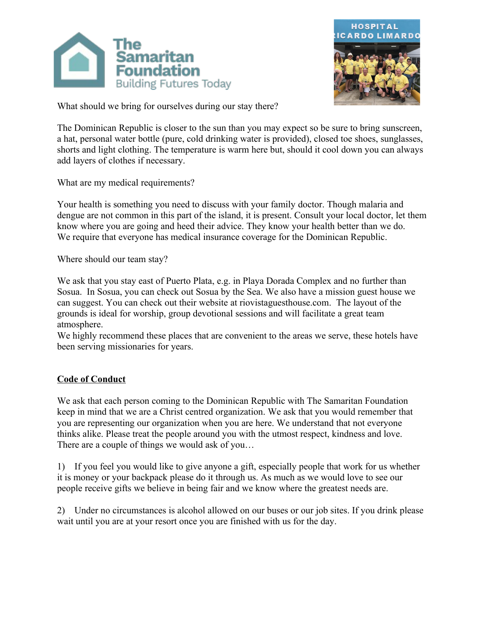



What should we bring for ourselves during our stay there?

The Dominican Republic is closer to the sun than you may expect so be sure to bring sunscreen, a hat, personal water bottle (pure, cold drinking water is provided), closed toe shoes, sunglasses, shorts and light clothing. The temperature is warm here but, should it cool down you can always add layers of clothes if necessary.

What are my medical requirements?

Your health is something you need to discuss with your family doctor. Though malaria and dengue are not common in this part of the island, it is present. Consult your local doctor, let them know where you are going and heed their advice. They know your health better than we do. We require that everyone has medical insurance coverage for the Dominican Republic.

Where should our team stay?

We ask that you stay east of Puerto Plata, e.g. in Playa Dorada Complex and no further than Sosua. In Sosua, you can check out Sosua by the Sea. We also have a mission guest house we can suggest. You can check out their website at riovistaguesthouse.com. The layout of the grounds is ideal for worship, group devotional sessions and will facilitate a great team atmosphere.

We highly recommend these places that are convenient to the areas we serve, these hotels have been serving missionaries for years.

## **Code of Conduct**

We ask that each person coming to the Dominican Republic with The Samaritan Foundation keep in mind that we are a Christ centred organization. We ask that you would remember that you are representing our organization when you are here. We understand that not everyone thinks alike. Please treat the people around you with the utmost respect, kindness and love. There are a couple of things we would ask of you…

1) If you feel you would like to give anyone a gift, especially people that work for us whether it is money or your backpack please do it through us. As much as we would love to see our people receive gifts we believe in being fair and we know where the greatest needs are.

2) Under no circumstances is alcohol allowed on our buses or our job sites. If you drink please wait until you are at your resort once you are finished with us for the day.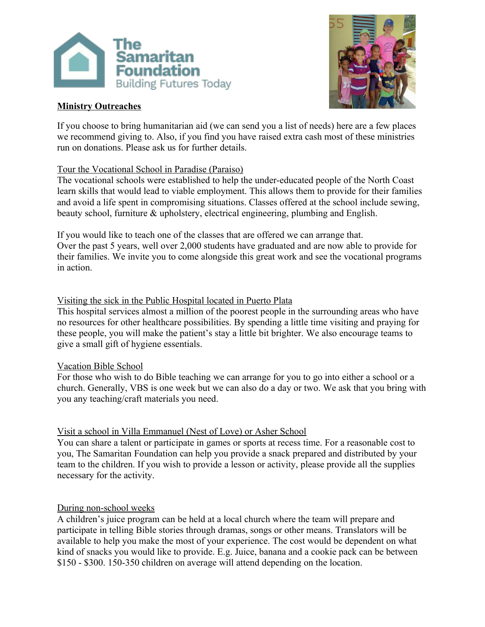

# **Ministry Outreaches**



If you choose to bring humanitarian aid (we can send you a list of needs) here are a few places we recommend giving to. Also, if you find you have raised extra cash most of these ministries run on donations. Please ask us for further details.

#### Tour the Vocational School in Paradise (Paraiso)

The vocational schools were established to help the under-educated people of the North Coast learn skills that would lead to viable employment. This allows them to provide for their families and avoid a life spent in compromising situations. Classes offered at the school include sewing, beauty school, furniture & upholstery, electrical engineering, plumbing and English.

If you would like to teach one of the classes that are offered we can arrange that. Over the past 5 years, well over 2,000 students have graduated and are now able to provide for their families. We invite you to come alongside this great work and see the vocational programs in action.

#### Visiting the sick in the Public Hospital located in Puerto Plata

This hospital services almost a million of the poorest people in the surrounding areas who have no resources for other healthcare possibilities. By spending a little time visiting and praying for these people, you will make the patient's stay a little bit brighter. We also encourage teams to give a small gift of hygiene essentials.

#### Vacation Bible School

For those who wish to do Bible teaching we can arrange for you to go into either a school or a church. Generally, VBS is one week but we can also do a day or two. We ask that you bring with you any teaching/craft materials you need.

## Visit a school in Villa Emmanuel (Nest of Love) or Asher School

You can share a talent or participate in games or sports at recess time. For a reasonable cost to you, The Samaritan Foundation can help you provide a snack prepared and distributed by your team to the children. If you wish to provide a lesson or activity, please provide all the supplies necessary for the activity.

## During non-school weeks

A children's juice program can be held at a local church where the team will prepare and participate in telling Bible stories through dramas, songs or other means. Translators will be available to help you make the most of your experience. The cost would be dependent on what kind of snacks you would like to provide. E.g. Juice, banana and a cookie pack can be between \$150 - \$300. 150-350 children on average will attend depending on the location.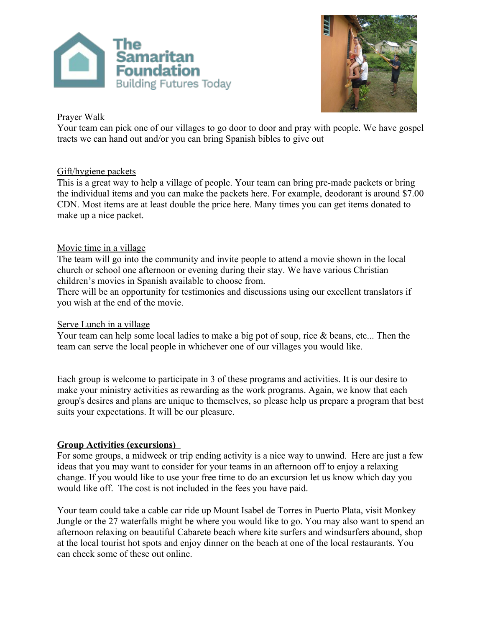



## Prayer Walk

Your team can pick one of our villages to go door to door and pray with people. We have gospel tracts we can hand out and/or you can bring Spanish bibles to give out

# Gift/hygiene packets

This is a great way to help a village of people. Your team can bring pre-made packets or bring the individual items and you can make the packets here. For example, deodorant is around \$7.00 CDN. Most items are at least double the price here. Many times you can get items donated to make up a nice packet.

# Movie time in a village

The team will go into the community and invite people to attend a movie shown in the local church or school one afternoon or evening during their stay. We have various Christian children's movies in Spanish available to choose from.

There will be an opportunity for testimonies and discussions using our excellent translators if you wish at the end of the movie.

## Serve Lunch in a village

Your team can help some local ladies to make a big pot of soup, rice & beans, etc... Then the team can serve the local people in whichever one of our villages you would like.

Each group is welcome to participate in 3 of these programs and activities. It is our desire to make your ministry activities as rewarding as the work programs. Again, we know that each group's desires and plans are unique to themselves, so please help us prepare a program that best suits your expectations. It will be our pleasure.

## **Group Activities (excursions)**

For some groups, a midweek or trip ending activity is a nice way to unwind. Here are just a few ideas that you may want to consider for your teams in an afternoon off to enjoy a relaxing change. If you would like to use your free time to do an excursion let us know which day you would like off. The cost is not included in the fees you have paid.

Your team could take a cable car ride up Mount Isabel de Torres in Puerto Plata, visit Monkey Jungle or the 27 waterfalls might be where you would like to go. You may also want to spend an afternoon relaxing on beautiful Cabarete beach where kite surfers and windsurfers abound, shop at the local tourist hot spots and enjoy dinner on the beach at one of the local restaurants. You can check some of these out online.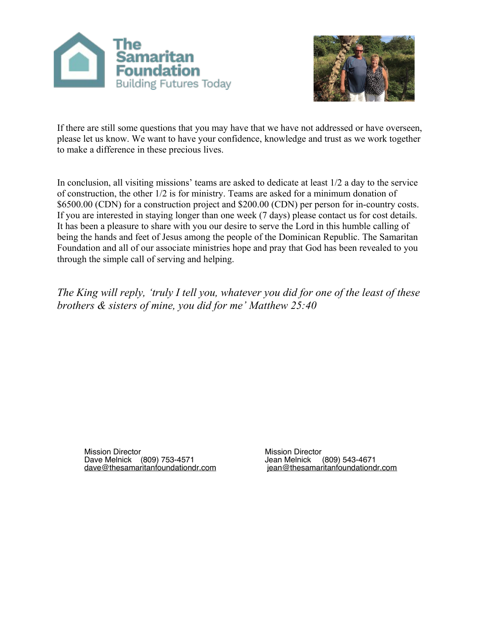



If there are still some questions that you may have that we have not addressed or have overseen, please let us know. We want to have your confidence, knowledge and trust as we work together to make a difference in these precious lives.

In conclusion, all visiting missions' teams are asked to dedicate at least 1/2 a day to the service of construction, the other 1/2 is for ministry. Teams are asked for a minimum donation of \$6500.00 (CDN) for a construction project and \$200.00 (CDN) per person for in-country costs. If you are interested in staying longer than one week (7 days) please contact us for cost details. It has been a pleasure to share with you our desire to serve the Lord in this humble calling of being the hands and feet of Jesus among the people of the Dominican Republic. The Samaritan Foundation and all of our associate ministries hope and pray that God has been revealed to you through the simple call of serving and helping.

*The King will reply, 'truly I tell you, whatever you did for one of the least of these brothers & sisters of mine, you did for me' Matthew 25:40*

Mission Director Dave Melnick (809) 753-4571 [dave@thesamaritanfoundationdr.com](mailto:dave@thesamaritanfoundationdr.com) Mission Director Jean Melnick (809) 543-4671  [jean@thesamaritanfoundationdr.com](mailto:jean@thesamaritanfoundationdr.com)